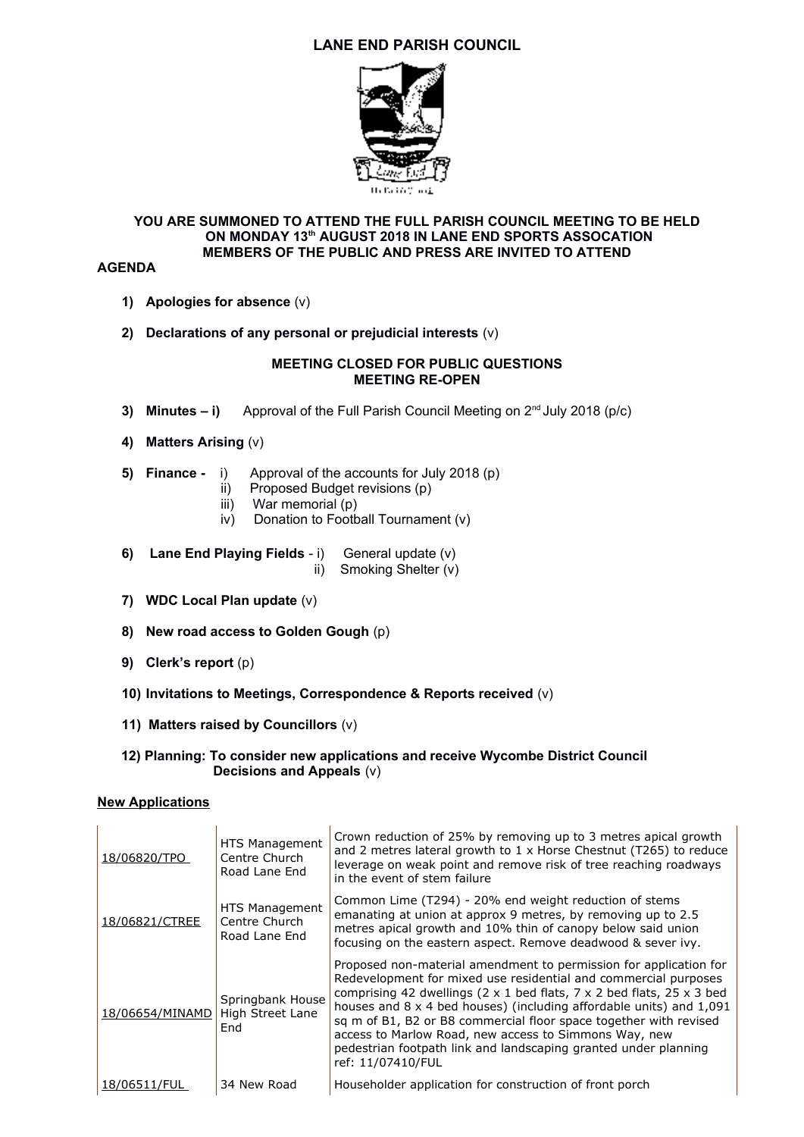# **LANE END PARISH COUNCIL**



## **YOU ARE SUMMONED TO ATTEND THE FULL PARISH COUNCIL MEETING TO BE HELD ON MONDAY 13th AUGUST 2018 IN LANE END SPORTS ASSOCATION MEMBERS OF THE PUBLIC AND PRESS ARE INVITED TO ATTEND**

#### **AGENDA**

- **1) Apologies for absence** (v)
- **2) Declarations of any personal or prejudicial interests** (v)

#### **MEETING CLOSED FOR PUBLIC QUESTIONS MEETING RE-OPEN**

- **3) Minutes i)** Approval of the Full Parish Council Meeting on 2<sup>nd</sup> July 2018 (p/c)
- **4) Matters Arising** (v)
- **5) Finance** i) Approval of the accounts for July 2018 (p)
	- ii) Proposed Budget revisions (p)
	- iii) War memorial (p)
	- iv) Donation to Football Tournament (v)
- **6) Lane End Playing Fields** i)General update (v)

ii) Smoking Shelter (v)

- **7) WDC Local Plan update** (v)
- **8) New road access to Golden Gough** (p)
- **9) Clerk's report** (p)
- **10) Invitations to Meetings, Correspondence & Reports received** (v)
- **11) Matters raised by Councillors** (v)
- **12) Planning: To consider new applications and receive Wycombe District Council Decisions and Appeals** (v)

### **New Applications**

| 18/06820/TPO    | HTS Management<br>Centre Church<br>Road Lane End | Crown reduction of 25% by removing up to 3 metres apical growth<br>and 2 metres lateral growth to $1 \times$ Horse Chestnut (T265) to reduce<br>leverage on weak point and remove risk of tree reaching roadways<br>in the event of stem failure                                                                                                                                                                                                                                                                                |
|-----------------|--------------------------------------------------|---------------------------------------------------------------------------------------------------------------------------------------------------------------------------------------------------------------------------------------------------------------------------------------------------------------------------------------------------------------------------------------------------------------------------------------------------------------------------------------------------------------------------------|
| 18/06821/CTREE  | HTS Management<br>Centre Church<br>Road Lane End | Common Lime (T294) - 20% end weight reduction of stems<br>emanating at union at approx 9 metres, by removing up to 2.5<br>metres apical growth and 10% thin of canopy below said union<br>focusing on the eastern aspect. Remove deadwood & sever ivy.                                                                                                                                                                                                                                                                          |
| 18/06654/MINAMD | Springbank House<br>High Street Lane<br>End      | Proposed non-material amendment to permission for application for<br>Redevelopment for mixed use residential and commercial purposes<br>comprising 42 dwellings (2 $\times$ 1 bed flats, 7 $\times$ 2 bed flats, 25 $\times$ 3 bed<br>houses and 8 x 4 bed houses) (including affordable units) and 1,091<br>sq m of B1, B2 or B8 commercial floor space together with revised<br>access to Marlow Road, new access to Simmons Way, new<br>pedestrian footpath link and landscaping granted under planning<br>ref: 11/07410/FUL |
| 18/06511/FUL    | 34 New Road                                      | Householder application for construction of front porch                                                                                                                                                                                                                                                                                                                                                                                                                                                                         |